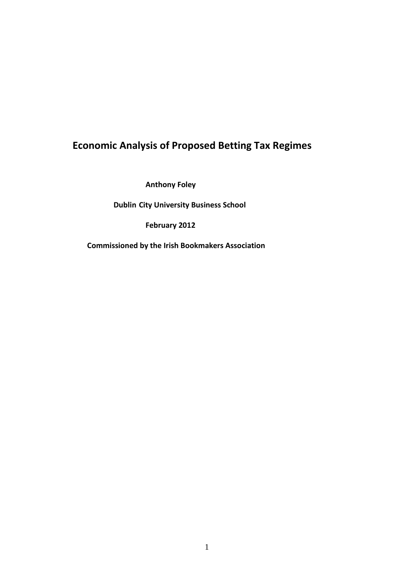# **Economic Analysis of Proposed Betting Tax Regimes**

 **Anthony Foley**

 **Dublin City University Business School**

 **February 2012**

 **Commissioned by the Irish Bookmakers Association**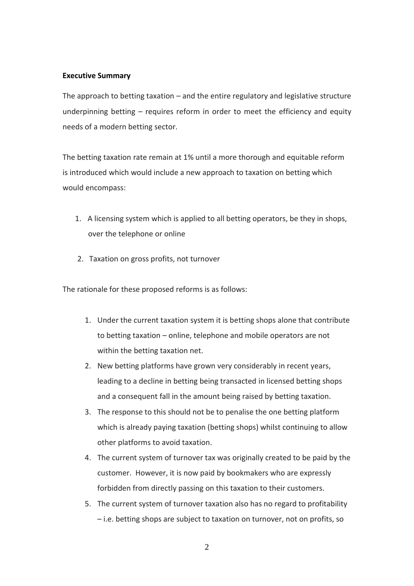# **Executive Summary**

The approach to betting taxation – and the entire regulatory and legislative structure underpinning betting – requires reform in order to meet the efficiency and equity needs of a modern betting sector.

The betting taxation rate remain at 1% until a more thorough and equitable reform is introduced which would include a new approach to taxation on betting which would encompass:

- 1. A licensing system which is applied to all betting operators, be they in shops, over the telephone or online
- 2. Taxation on gross profits, not turnover

The rationale for these proposed reforms is as follows:

- 1. Under the current taxation system it is betting shops alone that contribute to betting taxation – online, telephone and mobile operators are not within the betting taxation net.
- 2. New betting platforms have grown very considerably in recent years, leading to a decline in betting being transacted in licensed betting shops and a consequent fall in the amount being raised by betting taxation.
- 3. The response to this should not be to penalise the one betting platform which is already paying taxation (betting shops) whilst continuing to allow other platforms to avoid taxation.
- 4. The current system of turnover tax was originally created to be paid by the customer. However, it is now paid by bookmakers who are expressly forbidden from directly passing on this taxation to their customers.
- 5. The current system of turnover taxation also has no regard to profitability – i.e. betting shops are subject to taxation on turnover, not on profits, so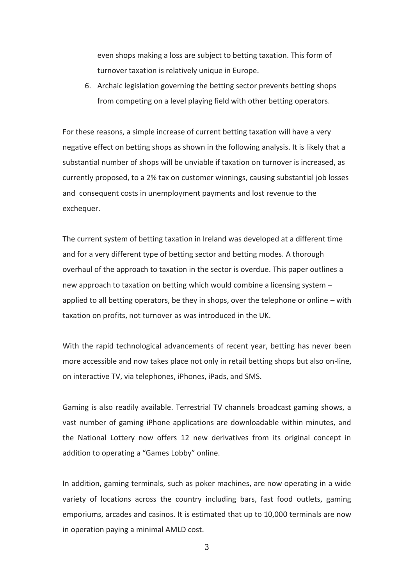even shops making a loss are subject to betting taxation. This form of turnover taxation is relatively unique in Europe.

6. Archaic legislation governing the betting sector prevents betting shops from competing on a level playing field with other betting operators.

For these reasons, a simple increase of current betting taxation will have a very negative effect on betting shops as shown in the following analysis. It is likely that a substantial number of shops will be unviable if taxation on turnover is increased, as currently proposed, to a 2% tax on customer winnings, causing substantial job losses and consequent costs in unemployment payments and lost revenue to the exchequer.

The current system of betting taxation in Ireland was developed at a different time and for a very different type of betting sector and betting modes. A thorough overhaul of the approach to taxation in the sector is overdue. This paper outlines a new approach to taxation on betting which would combine a licensing system – applied to all betting operators, be they in shops, over the telephone or online – with taxation on profits, not turnover as was introduced in the UK.

With the rapid technological advancements of recent year, betting has never been more accessible and now takes place not only in retail betting shops but also on-line, on interactive TV, via telephones, iPhones, iPads, and SMS.

Gaming is also readily available. Terrestrial TV channels broadcast gaming shows, a vast number of gaming iPhone applications are downloadable within minutes, and the National Lottery now offers 12 new derivatives from its original concept in addition to operating a "Games Lobby" online.

In addition, gaming terminals, such as poker machines, are now operating in a wide variety of locations across the country including bars, fast food outlets, gaming emporiums, arcades and casinos. It is estimated that up to 10,000 terminals are now in operation paying a minimal AMLD cost.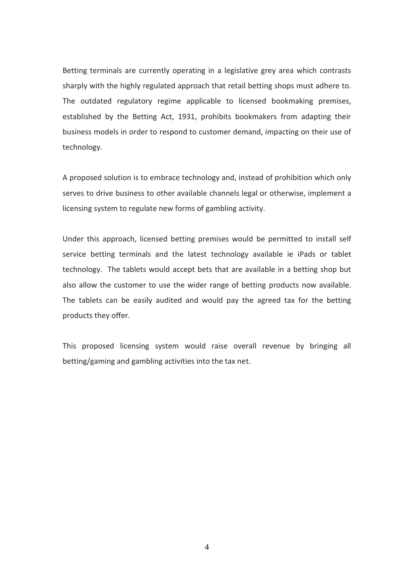Betting terminals are currently operating in a legislative grey area which contrasts sharply with the highly regulated approach that retail betting shops must adhere to. The outdated regulatory regime applicable to licensed bookmaking premises, established by the Betting Act, 1931, prohibits bookmakers from adapting their business models in order to respond to customer demand, impacting on their use of technology.

A proposed solution is to embrace technology and, instead of prohibition which only serves to drive business to other available channels legal or otherwise, implement a licensing system to regulate new forms of gambling activity.

Under this approach, licensed betting premises would be permitted to install self service betting terminals and the latest technology available ie iPads or tablet technology. The tablets would accept bets that are available in a betting shop but also allow the customer to use the wider range of betting products now available. The tablets can be easily audited and would pay the agreed tax for the betting products they offer.

This proposed licensing system would raise overall revenue by bringing all betting/gaming and gambling activities into the tax net.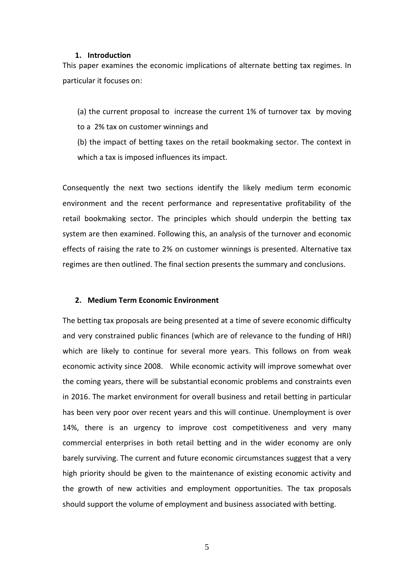### **1. Introduction**

This paper examines the economic implications of alternate betting tax regimes. In particular it focuses on:

(a) the current proposal to increase the current 1% of turnover tax by moving to a 2% tax on customer winnings and

(b) the impact of betting taxes on the retail bookmaking sector. The context in which a tax is imposed influences its impact.

Consequently the next two sections identify the likely medium term economic environment and the recent performance and representative profitability of the retail bookmaking sector. The principles which should underpin the betting tax system are then examined. Following this, an analysis of the turnover and economic effects of raising the rate to 2% on customer winnings is presented. Alternative tax regimes are then outlined. The final section presents the summary and conclusions.

#### **2. Medium Term Economic Environment**

The betting tax proposals are being presented at a time of severe economic difficulty and very constrained public finances (which are of relevance to the funding of HRI) which are likely to continue for several more years. This follows on from weak economic activity since 2008. While economic activity will improve somewhat over the coming years, there will be substantial economic problems and constraints even in 2016. The market environment for overall business and retail betting in particular has been very poor over recent years and this will continue. Unemployment is over 14%, there is an urgency to improve cost competitiveness and very many commercial enterprises in both retail betting and in the wider economy are only barely surviving. The current and future economic circumstances suggest that a very high priority should be given to the maintenance of existing economic activity and the growth of new activities and employment opportunities. The tax proposals should support the volume of employment and business associated with betting.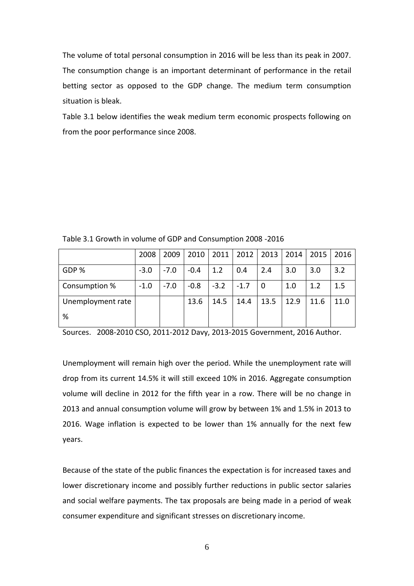The volume of total personal consumption in 2016 will be less than its peak in 2007. The consumption change is an important determinant of performance in the retail betting sector as opposed to the GDP change. The medium term consumption situation is bleak.

Table 3.1 below identifies the weak medium term economic prospects following on from the poor performance since 2008.

|                   | 2008   | 2009   | 2010   | 2011   | 2012   | 2013 | 2014 | 2015 | 2016 |
|-------------------|--------|--------|--------|--------|--------|------|------|------|------|
| GDP %             | $-3.0$ | $-7.0$ | $-0.4$ | 1.2    | 0.4    | 2.4  | 3.0  | 3.0  | 3.2  |
| Consumption %     | $-1.0$ | $-7.0$ | $-0.8$ | $-3.2$ | $-1.7$ | 0    | 1.0  | 1.2  | 1.5  |
| Unemployment rate |        |        | 13.6   | 14.5   | 14.4   | 13.5 | 12.9 | 11.6 | 11.0 |
| %                 |        |        |        |        |        |      |      |      |      |

Table 3.1 Growth in volume of GDP and Consumption 2008 -2016

Sources. 2008-2010 CSO, 2011-2012 Davy, 2013-2015 Government, 2016 Author.

Unemployment will remain high over the period. While the unemployment rate will drop from its current 14.5% it will still exceed 10% in 2016. Aggregate consumption volume will decline in 2012 for the fifth year in a row. There will be no change in 2013 and annual consumption volume will grow by between 1% and 1.5% in 2013 to 2016. Wage inflation is expected to be lower than 1% annually for the next few years.

Because of the state of the public finances the expectation is for increased taxes and lower discretionary income and possibly further reductions in public sector salaries and social welfare payments. The tax proposals are being made in a period of weak consumer expenditure and significant stresses on discretionary income.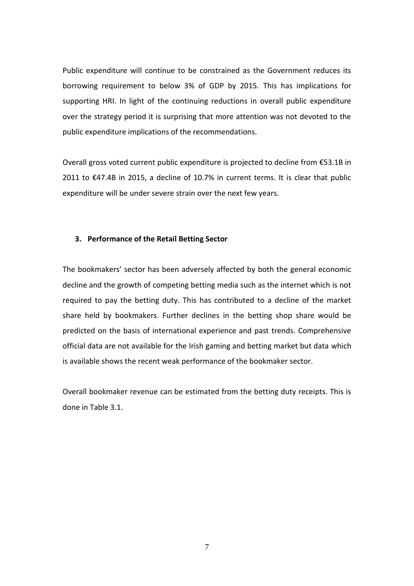Public expenditure will continue to be constrained as the Government reduces its borrowing requirement to below 3% of GDP by 2015. This has implications for supporting HRI. In light of the continuing reductions in overall public expenditure over the strategy period it is surprising that more attention was not devoted to the public expenditure implications of the recommendations.

Overall gross voted current public expenditure is projected to decline from €53.1B in 2011 to €47.4B in 2015, a decline of 10.7% in current terms. It is clear that public expenditure will be under severe strain over the next few years.

## **3. Performance of the Retail Betting Sector**

The bookmakers' sector has been adversely affected by both the general economic decline and the growth of competing betting media such as the internet which is not required to pay the betting duty. This has contributed to a decline of the market share held by bookmakers. Further declines in the betting shop share would be predicted on the basis of international experience and past trends. Comprehensive official data are not available for the Irish gaming and betting market but data which is available shows the recent weak performance of the bookmaker sector.

Overall bookmaker revenue can be estimated from the betting duty receipts. This is done in Table 3.1.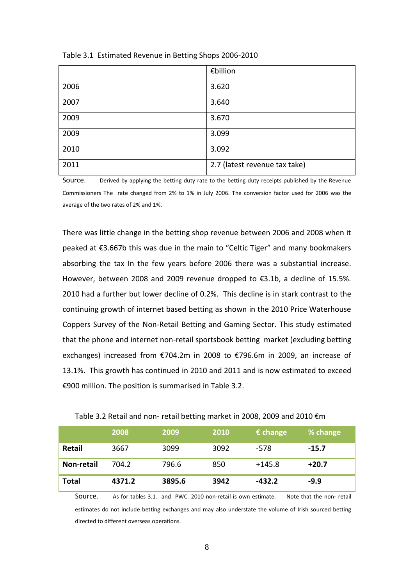|      | €billion                      |
|------|-------------------------------|
| 2006 | 3.620                         |
| 2007 | 3.640                         |
| 2009 | 3.670                         |
| 2009 | 3.099                         |
| 2010 | 3.092                         |
| 2011 | 2.7 (latest revenue tax take) |

Table 3.1 Estimated Revenue in Betting Shops 2006-2010

Source. Derived by applying the betting duty rate to the betting duty receipts published by the Revenue Commissioners The rate changed from 2% to 1% in July 2006. The conversion factor used for 2006 was the average of the two rates of 2% and 1%.

There was little change in the betting shop revenue between 2006 and 2008 when it peaked at €3.667b this was due in the main to "Celtic Tiger" and many bookmakers absorbing the tax In the few years before 2006 there was a substantial increase. However, between 2008 and 2009 revenue dropped to €3.1b, a decline of 15.5%. 2010 had a further but lower decline of 0.2%. This decline is in stark contrast to the continuing growth of internet based betting as shown in the 2010 Price Waterhouse Coppers Survey of the Non-Retail Betting and Gaming Sector. This study estimated that the phone and internet non-retail sportsbook betting market (excluding betting exchanges) increased from €704.2m in 2008 to €796.6m in 2009, an increase of 13.1%. This growth has continued in 2010 and 2011 and is now estimated to exceed €900 million. The position is summarised in Table 3.2.

|              | 2008   | 2009   | 2010 | $\epsilon$ change | % change |
|--------------|--------|--------|------|-------------------|----------|
| Retail       | 3667   | 3099   | 3092 | -578              | $-15.7$  |
| Non-retail   | 704.2  | 796.6  | 850  | $+145.8$          | $+20.7$  |
| <b>Total</b> | 4371.2 | 3895.6 | 3942 | $-432.2$          | $-9.9$   |

|  |  | Table 3.2 Retail and non- retail betting market in 2008, 2009 and 2010 €m |
|--|--|---------------------------------------------------------------------------|
|--|--|---------------------------------------------------------------------------|

Source. As for tables 3.1. and PWC. 2010 non-retail is own estimate. Note that the non- retail estimates do not include betting exchanges and may also understate the volume of Irish sourced betting directed to different overseas operations.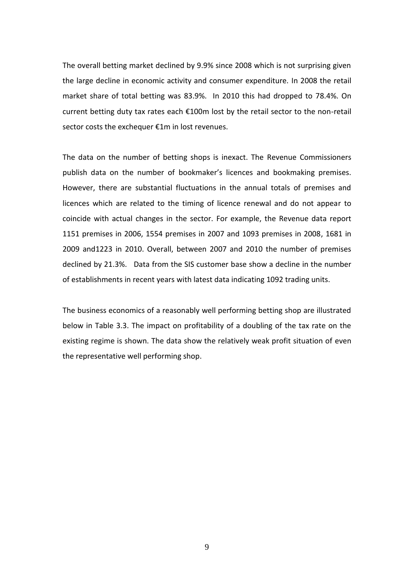The overall betting market declined by 9.9% since 2008 which is not surprising given the large decline in economic activity and consumer expenditure. In 2008 the retail market share of total betting was 83.9%. In 2010 this had dropped to 78.4%. On current betting duty tax rates each €100m lost by the retail sector to the non-retail sector costs the exchequer €1m in lost revenues.

The data on the number of betting shops is inexact. The Revenue Commissioners publish data on the number of bookmaker's licences and bookmaking premises. However, there are substantial fluctuations in the annual totals of premises and licences which are related to the timing of licence renewal and do not appear to coincide with actual changes in the sector. For example, the Revenue data report 1151 premises in 2006, 1554 premises in 2007 and 1093 premises in 2008, 1681 in 2009 and1223 in 2010. Overall, between 2007 and 2010 the number of premises declined by 21.3%. Data from the SIS customer base show a decline in the number of establishments in recent years with latest data indicating 1092 trading units.

The business economics of a reasonably well performing betting shop are illustrated below in Table 3.3. The impact on profitability of a doubling of the tax rate on the existing regime is shown. The data show the relatively weak profit situation of even the representative well performing shop.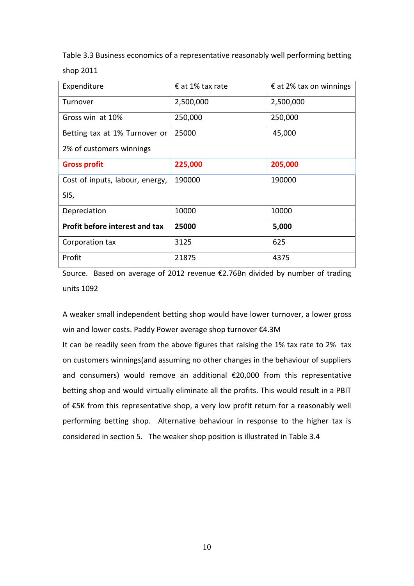Table 3.3 Business economics of a representative reasonably well performing betting shop 2011

| Expenditure                     | $\epsilon$ at 1% tax rate | $\epsilon$ at 2% tax on winnings |
|---------------------------------|---------------------------|----------------------------------|
| Turnover                        | 2,500,000                 | 2,500,000                        |
| Gross win at 10%                | 250,000                   | 250,000                          |
| Betting tax at 1% Turnover or   | 25000                     | 45,000                           |
| 2% of customers winnings        |                           |                                  |
| <b>Gross profit</b>             | 225,000                   | 205,000                          |
| Cost of inputs, labour, energy, | 190000                    | 190000                           |
| SIS,                            |                           |                                  |
| Depreciation                    | 10000                     | 10000                            |
| Profit before interest and tax  | 25000                     | 5,000                            |
| Corporation tax                 | 3125                      | 625                              |
| Profit                          | 21875                     | 4375                             |

Source. Based on average of 2012 revenue €2.76Bn divided by number of trading units 1092

A weaker small independent betting shop would have lower turnover, a lower gross win and lower costs. Paddy Power average shop turnover €4.3M

It can be readily seen from the above figures that raising the 1% tax rate to 2% tax on customers winnings(and assuming no other changes in the behaviour of suppliers and consumers) would remove an additional €20,000 from this representative betting shop and would virtually eliminate all the profits. This would result in a PBIT of €5K from this representative shop, a very low profit return for a reasonably well performing betting shop. Alternative behaviour in response to the higher tax is considered in section 5. The weaker shop position is illustrated in Table 3.4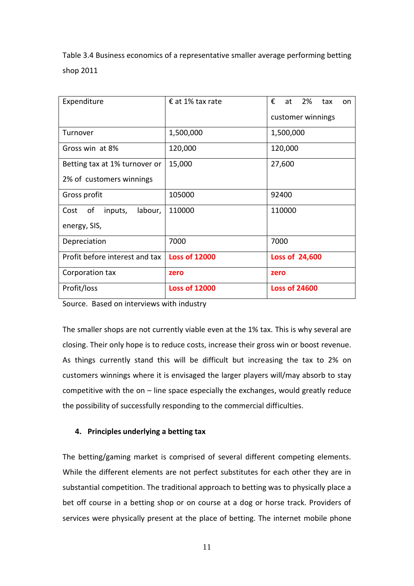Table 3.4 Business economics of a representative smaller average performing betting shop 2011

| Expenditure                      | € at 1% tax rate     | €<br>at 2%<br>tax<br>on |
|----------------------------------|----------------------|-------------------------|
|                                  |                      | customer winnings       |
| Turnover                         | 1,500,000            | 1,500,000               |
| Gross win at 8%                  | 120,000              | 120,000                 |
| Betting tax at 1% turnover or    | 15,000               | 27,600                  |
| 2% of customers winnings         |                      |                         |
| Gross profit                     | 105000               | 92400                   |
| of<br>inputs,<br>labour,<br>Cost | 110000               | 110000                  |
| energy, SIS,                     |                      |                         |
| Depreciation                     | 7000                 | 7000                    |
| Profit before interest and tax   | <b>Loss of 12000</b> | Loss of 24,600          |
| Corporation tax                  | zero                 | zero                    |
| Profit/loss                      | <b>Loss of 12000</b> | <b>Loss of 24600</b>    |

Source. Based on interviews with industry

The smaller shops are not currently viable even at the 1% tax. This is why several are closing. Their only hope is to reduce costs, increase their gross win or boost revenue. As things currently stand this will be difficult but increasing the tax to 2% on customers winnings where it is envisaged the larger players will/may absorb to stay competitive with the on  $-$  line space especially the exchanges, would greatly reduce the possibility of successfully responding to the commercial difficulties.

## **4. Principles underlying a betting tax**

The betting/gaming market is comprised of several different competing elements. While the different elements are not perfect substitutes for each other they are in substantial competition. The traditional approach to betting was to physically place a bet off course in a betting shop or on course at a dog or horse track. Providers of services were physically present at the place of betting. The internet mobile phone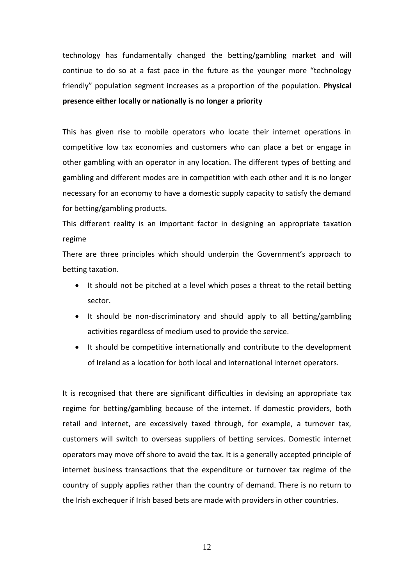technology has fundamentally changed the betting/gambling market and will continue to do so at a fast pace in the future as the younger more "technology friendly" population segment increases as a proportion of the population. **Physical presence either locally or nationally is no longer a priority**

This has given rise to mobile operators who locate their internet operations in competitive low tax economies and customers who can place a bet or engage in other gambling with an operator in any location. The different types of betting and gambling and different modes are in competition with each other and it is no longer necessary for an economy to have a domestic supply capacity to satisfy the demand for betting/gambling products.

This different reality is an important factor in designing an appropriate taxation regime

There are three principles which should underpin the Government's approach to betting taxation.

- It should not be pitched at a level which poses a threat to the retail betting sector.
- It should be non-discriminatory and should apply to all betting/gambling activities regardless of medium used to provide the service.
- It should be competitive internationally and contribute to the development of Ireland as a location for both local and international internet operators.

It is recognised that there are significant difficulties in devising an appropriate tax regime for betting/gambling because of the internet. If domestic providers, both retail and internet, are excessively taxed through, for example, a turnover tax, customers will switch to overseas suppliers of betting services. Domestic internet operators may move off shore to avoid the tax. It is a generally accepted principle of internet business transactions that the expenditure or turnover tax regime of the country of supply applies rather than the country of demand. There is no return to the Irish exchequer if Irish based bets are made with providers in other countries.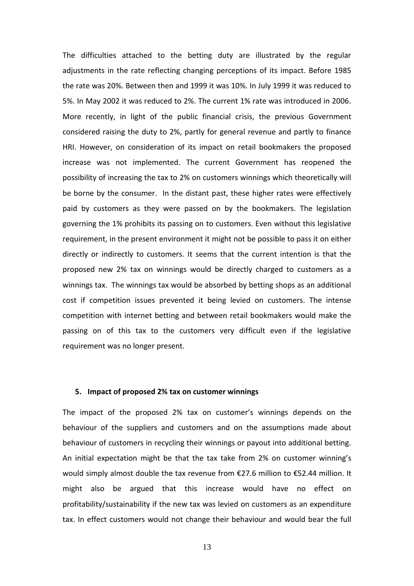The difficulties attached to the betting duty are illustrated by the regular adjustments in the rate reflecting changing perceptions of its impact. Before 1985 the rate was 20%. Between then and 1999 it was 10%. In July 1999 it was reduced to 5%. In May 2002 it was reduced to 2%. The current 1% rate was introduced in 2006. More recently, in light of the public financial crisis, the previous Government considered raising the duty to 2%, partly for general revenue and partly to finance HRI. However, on consideration of its impact on retail bookmakers the proposed increase was not implemented. The current Government has reopened the possibility of increasing the tax to 2% on customers winnings which theoretically will be borne by the consumer. In the distant past, these higher rates were effectively paid by customers as they were passed on by the bookmakers. The legislation governing the 1% prohibits its passing on to customers. Even without this legislative requirement, in the present environment it might not be possible to pass it on either directly or indirectly to customers. It seems that the current intention is that the proposed new 2% tax on winnings would be directly charged to customers as a winnings tax. The winnings tax would be absorbed by betting shops as an additional cost if competition issues prevented it being levied on customers. The intense competition with internet betting and between retail bookmakers would make the passing on of this tax to the customers very difficult even if the legislative requirement was no longer present.

### **5. Impact of proposed 2% tax on customer winnings**

The impact of the proposed 2% tax on customer's winnings depends on the behaviour of the suppliers and customers and on the assumptions made about behaviour of customers in recycling their winnings or payout into additional betting. An initial expectation might be that the tax take from 2% on customer winning's would simply almost double the tax revenue from €27.6 million to €52.44 million. It might also be argued that this increase would have no effect on profitability/sustainability if the new tax was levied on customers as an expenditure tax. In effect customers would not change their behaviour and would bear the full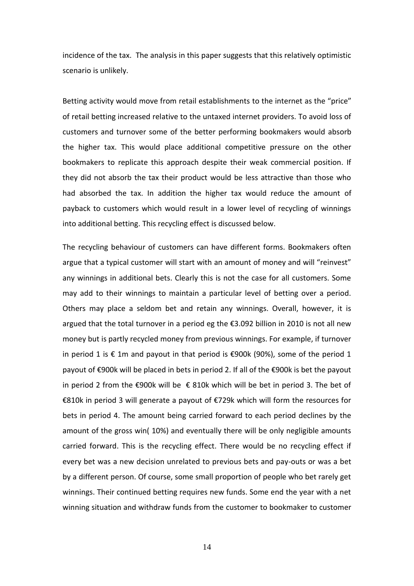incidence of the tax. The analysis in this paper suggests that this relatively optimistic scenario is unlikely.

Betting activity would move from retail establishments to the internet as the "price" of retail betting increased relative to the untaxed internet providers. To avoid loss of customers and turnover some of the better performing bookmakers would absorb the higher tax. This would place additional competitive pressure on the other bookmakers to replicate this approach despite their weak commercial position. If they did not absorb the tax their product would be less attractive than those who had absorbed the tax. In addition the higher tax would reduce the amount of payback to customers which would result in a lower level of recycling of winnings into additional betting. This recycling effect is discussed below.

The recycling behaviour of customers can have different forms. Bookmakers often argue that a typical customer will start with an amount of money and will "reinvest" any winnings in additional bets. Clearly this is not the case for all customers. Some may add to their winnings to maintain a particular level of betting over a period. Others may place a seldom bet and retain any winnings. Overall, however, it is argued that the total turnover in a period eg the €3.092 billion in 2010 is not all new money but is partly recycled money from previous winnings. For example, if turnover in period 1 is € 1m and payout in that period is €900k (90%), some of the period 1 payout of €900k will be placed in bets in period 2. If all of the €900k is bet the payout in period 2 from the €900k will be  $€$  810k which will be bet in period 3. The bet of €810k in period 3 will generate a payout of €729k which will form the resources for bets in period 4. The amount being carried forward to each period declines by the amount of the gross win( 10%) and eventually there will be only negligible amounts carried forward. This is the recycling effect. There would be no recycling effect if every bet was a new decision unrelated to previous bets and pay-outs or was a bet by a different person. Of course, some small proportion of people who bet rarely get winnings. Their continued betting requires new funds. Some end the year with a net winning situation and withdraw funds from the customer to bookmaker to customer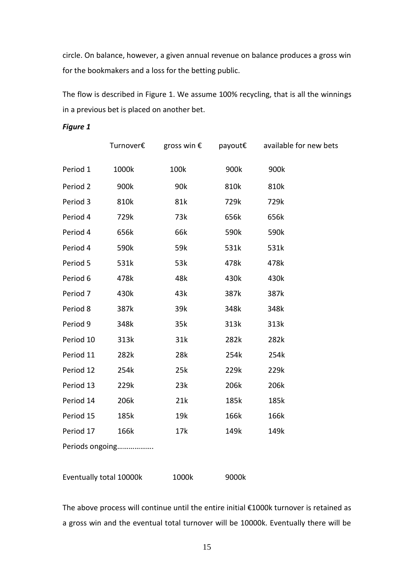circle. On balance, however, a given annual revenue on balance produces a gross win for the bookmakers and a loss for the betting public.

The flow is described in Figure 1. We assume 100% recycling, that is all the winnings in a previous bet is placed on another bet.

*Figure 1*

|                      | Turnover€ |      |      | gross win € payout € available for new bets |
|----------------------|-----------|------|------|---------------------------------------------|
| Period 1             | 1000k     | 100k | 900k | 900k                                        |
| Period 2             | 900k      | 90k  | 810k | 810k                                        |
| Period 3             | 810k      | 81k  | 729k | 729k                                        |
| Period 4             | 729k      | 73k  | 656k | 656k                                        |
| Period 4             | 656k      | 66k  | 590k | 590k                                        |
| Period 4             | 590k      | 59k  | 531k | 531k                                        |
| Period 5             | 531k      | 53k  | 478k | 478k                                        |
| Period 6             | 478k      | 48k  | 430k | 430k                                        |
| Period 7             | 430k      | 43k  | 387k | 387k                                        |
| Period 8             | 387k      | 39k  | 348k | 348k                                        |
| Period 9             | 348k      | 35k  | 313k | 313k                                        |
| Period 10            | 313k      | 31k  | 282k | 282k                                        |
| Period 11            | 282k      | 28k  | 254k | 254k                                        |
| Period 12            | 254k      | 25k  | 229k | 229k                                        |
| Period 13            | 229k      | 23k  | 206k | 206k                                        |
| Period 14            | 206k      | 21k  | 185k | 185k                                        |
| Period 15            | 185k      | 19k  | 166k | 166k                                        |
| Period 17            | 166k      | 17k  | 149k | 149k                                        |
| المنقصات والمستمردان |           |      |      |                                             |

Periods ongoing……………….

| 1000k | 9000k |
|-------|-------|
|       |       |

The above process will continue until the entire initial €1000k turnover is retained as a gross win and the eventual total turnover will be 10000k. Eventually there will be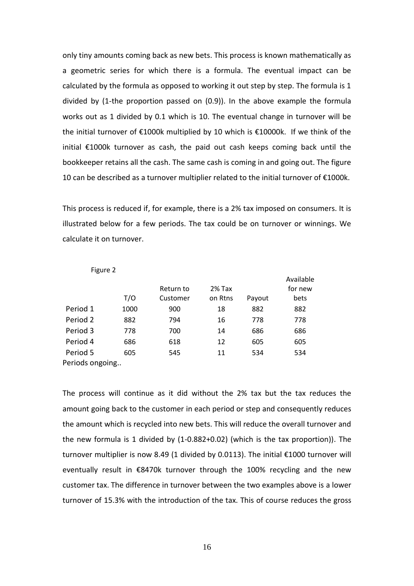only tiny amounts coming back as new bets. This process is known mathematically as a geometric series for which there is a formula. The eventual impact can be calculated by the formula as opposed to working it out step by step. The formula is 1 divided by (1-the proportion passed on (0.9)). In the above example the formula works out as 1 divided by 0.1 which is 10. The eventual change in turnover will be the initial turnover of €1000k multiplied by 10 which is €10000k. If we think of the initial €1000k turnover as cash, the paid out cash keeps coming back until the bookkeeper retains all the cash. The same cash is coming in and going out. The figure 10 can be described as a turnover multiplier related to the initial turnover of €1000k.

This process is reduced if, for example, there is a 2% tax imposed on consumers. It is illustrated below for a few periods. The tax could be on turnover or winnings. We calculate it on turnover.

| ີ               | T/O  | Return to<br>Customer | 2% Tax<br>on Rtns | Payout | Available<br>for new<br>bets |
|-----------------|------|-----------------------|-------------------|--------|------------------------------|
|                 |      |                       |                   |        |                              |
| Period 1        | 1000 | 900                   | 18                | 882    | 882                          |
| Period 2        | 882  | 794                   | 16                | 778    | 778                          |
| Period 3        | 778  | 700                   | 14                | 686    | 686                          |
| Period 4        | 686  | 618                   | 12                | 605    | 605                          |
| Period 5        | 605  | 545                   | 11                | 534    | 534                          |
| Periods ongoing |      |                       |                   |        |                              |

Figure 2

The process will continue as it did without the 2% tax but the tax reduces the amount going back to the customer in each period or step and consequently reduces the amount which is recycled into new bets. This will reduce the overall turnover and the new formula is 1 divided by (1-0.882+0.02) (which is the tax proportion)). The turnover multiplier is now 8.49 (1 divided by 0.0113). The initial €1000 turnover will eventually result in €8470k turnover through the 100% recycling and the new customer tax. The difference in turnover between the two examples above is a lower turnover of 15.3% with the introduction of the tax. This of course reduces the gross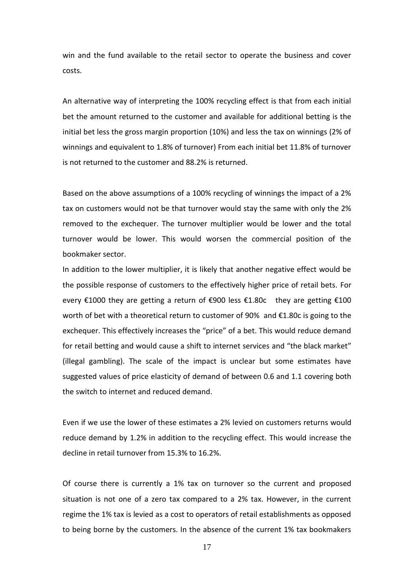win and the fund available to the retail sector to operate the business and cover costs.

An alternative way of interpreting the 100% recycling effect is that from each initial bet the amount returned to the customer and available for additional betting is the initial bet less the gross margin proportion (10%) and less the tax on winnings (2% of winnings and equivalent to 1.8% of turnover) From each initial bet 11.8% of turnover is not returned to the customer and 88.2% is returned.

Based on the above assumptions of a 100% recycling of winnings the impact of a 2% tax on customers would not be that turnover would stay the same with only the 2% removed to the exchequer. The turnover multiplier would be lower and the total turnover would be lower. This would worsen the commercial position of the bookmaker sector.

In addition to the lower multiplier, it is likely that another negative effect would be the possible response of customers to the effectively higher price of retail bets. For every  $\epsilon$ 1000 they are getting a return of  $\epsilon$ 900 less  $\epsilon$ 1.80c they are getting  $\epsilon$ 100 worth of bet with a theoretical return to customer of 90% and €1.80c is going to the exchequer. This effectively increases the "price" of a bet. This would reduce demand for retail betting and would cause a shift to internet services and "the black market" (illegal gambling). The scale of the impact is unclear but some estimates have suggested values of price elasticity of demand of between 0.6 and 1.1 covering both the switch to internet and reduced demand.

Even if we use the lower of these estimates a 2% levied on customers returns would reduce demand by 1.2% in addition to the recycling effect. This would increase the decline in retail turnover from 15.3% to 16.2%.

Of course there is currently a 1% tax on turnover so the current and proposed situation is not one of a zero tax compared to a 2% tax. However, in the current regime the 1% tax is levied as a cost to operators of retail establishments as opposed to being borne by the customers. In the absence of the current 1% tax bookmakers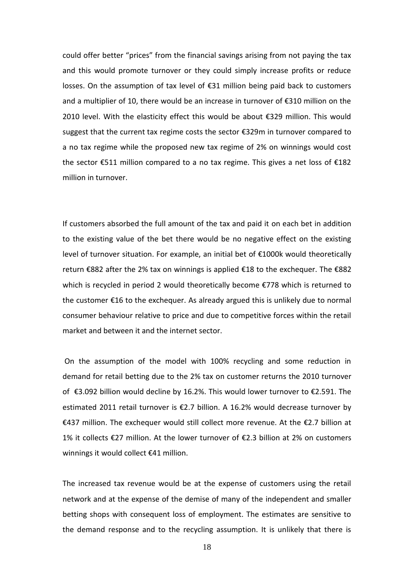could offer better "prices" from the financial savings arising from not paying the tax and this would promote turnover or they could simply increase profits or reduce losses. On the assumption of tax level of €31 million being paid back to customers and a multiplier of 10, there would be an increase in turnover of €310 million on the 2010 level. With the elasticity effect this would be about €329 million. This would suggest that the current tax regime costs the sector €329m in turnover compared to a no tax regime while the proposed new tax regime of 2% on winnings would cost the sector €511 million compared to a no tax regime. This gives a net loss of €182 million in turnover.

If customers absorbed the full amount of the tax and paid it on each bet in addition to the existing value of the bet there would be no negative effect on the existing level of turnover situation. For example, an initial bet of €1000k would theoretically return €882 after the 2% tax on winnings is applied €18 to the exchequer. The €882 which is recycled in period 2 would theoretically become €778 which is returned to the customer €16 to the exchequer. As already argued this is unlikely due to normal consumer behaviour relative to price and due to competitive forces within the retail market and between it and the internet sector.

On the assumption of the model with 100% recycling and some reduction in demand for retail betting due to the 2% tax on customer returns the 2010 turnover of €3.092 billion would decline by 16.2%. This would lower turnover to €2.591. The estimated 2011 retail turnover is €2.7 billion. A 16.2% would decrease turnover by €437 million. The exchequer would still collect more revenue. At the €2.7 billion at 1% it collects €27 million. At the lower turnover of €2.3 billion at 2% on customers winnings it would collect €41 million.

The increased tax revenue would be at the expense of customers using the retail network and at the expense of the demise of many of the independent and smaller betting shops with consequent loss of employment. The estimates are sensitive to the demand response and to the recycling assumption. It is unlikely that there is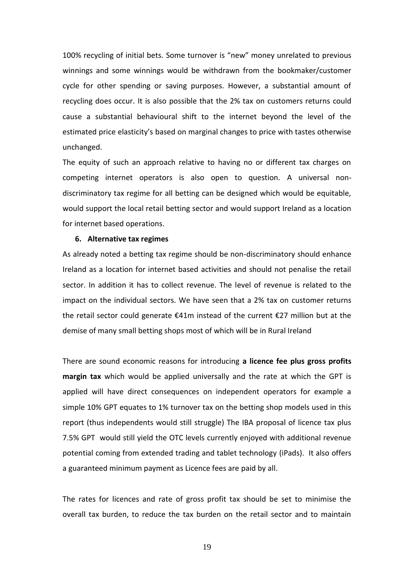100% recycling of initial bets. Some turnover is "new" money unrelated to previous winnings and some winnings would be withdrawn from the bookmaker/customer cycle for other spending or saving purposes. However, a substantial amount of recycling does occur. It is also possible that the 2% tax on customers returns could cause a substantial behavioural shift to the internet beyond the level of the estimated price elasticity's based on marginal changes to price with tastes otherwise unchanged.

The equity of such an approach relative to having no or different tax charges on competing internet operators is also open to question. A universal nondiscriminatory tax regime for all betting can be designed which would be equitable, would support the local retail betting sector and would support Ireland as a location for internet based operations.

#### **6. Alternative tax regimes**

As already noted a betting tax regime should be non-discriminatory should enhance Ireland as a location for internet based activities and should not penalise the retail sector. In addition it has to collect revenue. The level of revenue is related to the impact on the individual sectors. We have seen that a 2% tax on customer returns the retail sector could generate €41m instead of the current €27 million but at the demise of many small betting shops most of which will be in Rural Ireland

There are sound economic reasons for introducing **a licence fee plus gross profits margin tax** which would be applied universally and the rate at which the GPT is applied will have direct consequences on independent operators for example a simple 10% GPT equates to 1% turnover tax on the betting shop models used in this report (thus independents would still struggle) The IBA proposal of licence tax plus 7.5% GPT would still yield the OTC levels currently enjoyed with additional revenue potential coming from extended trading and tablet technology (iPads). It also offers a guaranteed minimum payment as Licence fees are paid by all.

The rates for licences and rate of gross profit tax should be set to minimise the overall tax burden, to reduce the tax burden on the retail sector and to maintain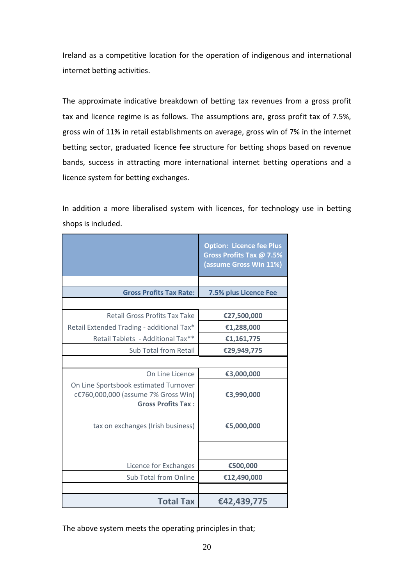Ireland as a competitive location for the operation of indigenous and international internet betting activities.

The approximate indicative breakdown of betting tax revenues from a gross profit tax and licence regime is as follows. The assumptions are, gross profit tax of 7.5%, gross win of 11% in retail establishments on average, gross win of 7% in the internet betting sector, graduated licence fee structure for betting shops based on revenue bands, success in attracting more international internet betting operations and a licence system for betting exchanges.

In addition a more liberalised system with licences, for technology use in betting shops is included.

|                                                                                                           | <b>Option: Licence fee Plus</b><br><b>Gross Profits Tax @ 7.5%</b><br>(assume Gross Win 11%) |
|-----------------------------------------------------------------------------------------------------------|----------------------------------------------------------------------------------------------|
|                                                                                                           |                                                                                              |
| <b>Gross Profits Tax Rate:</b>                                                                            | 7.5% plus Licence Fee                                                                        |
|                                                                                                           |                                                                                              |
| <b>Retail Gross Profits Tax Take</b>                                                                      | €27,500,000                                                                                  |
| Retail Extended Trading - additional Tax*                                                                 | €1,288,000                                                                                   |
| Retail Tablets - Additional Tax**                                                                         | €1,161,775                                                                                   |
| Sub Total from Retail                                                                                     | €29,949,775                                                                                  |
|                                                                                                           |                                                                                              |
| On Line Licence                                                                                           | €3,000,000                                                                                   |
| On Line Sportsbook estimated Turnover<br>c€760,000,000 (assume 7% Gross Win)<br><b>Gross Profits Tax:</b> | €3,990,000                                                                                   |
| tax on exchanges (Irish business)                                                                         | €5,000,000                                                                                   |
| Licence for Exchanges                                                                                     | €500,000                                                                                     |
| Sub Total from Online                                                                                     | €12,490,000                                                                                  |
|                                                                                                           |                                                                                              |
| <b>Total Tax</b>                                                                                          | €42,439,775                                                                                  |

The above system meets the operating principles in that;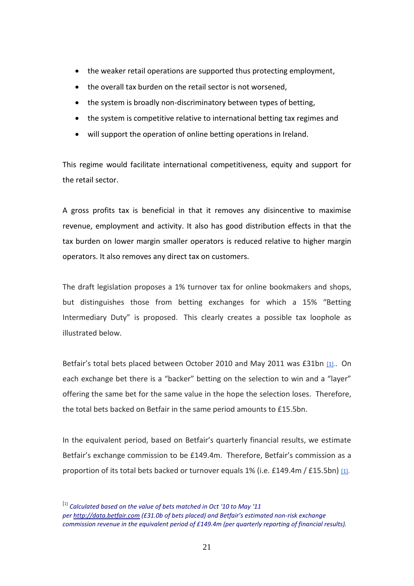- the weaker retail operations are supported thus protecting employment,
- the overall tax burden on the retail sector is not worsened,
- the system is broadly non-discriminatory between types of betting,
- the system is competitive relative to international betting tax regimes and
- will support the operation of online betting operations in Ireland.

This regime would facilitate international competitiveness, equity and support for the retail sector.

A gross profits tax is beneficial in that it removes any disincentive to maximise revenue, employment and activity. It also has good distribution effects in that the tax burden on lower margin smaller operators is reduced relative to higher margin operators. It also removes any direct tax on customers.

The draft legislation proposes a 1% turnover tax for online bookmakers and shops, but distinguishes those from betting exchanges for which a 15% "Betting Intermediary Duty" is proposed. This clearly creates a possible tax loophole as illustrated below.

Betfair's total bets placed between October 2010 and May 2011 was £31bn [\[1\].](https://mail.google.com/mail/?ui=2&view=bsp&ver=ohhl4rw8mbn4#13587c34e8761887__ftn1). On each exchange bet there is a "backer" betting on the selection to win and a "layer" offering the same bet for the same value in the hope the selection loses. Therefore, the total bets backed on Betfair in the same period amounts to £15.5bn.

In the equivalent period, based on Betfair's quarterly financial results, we estimate Betfair's exchange commission to be £149.4m. Therefore, Betfair's commission as a proportion of its total bets backed or turnover equals 1% (i.e. £149.4m / £15.5bn) [\[1\].](https://mail.google.com/mail/?ui=2&view=bsp&ver=ohhl4rw8mbn4#13587c34e8761887__ftn1)

<sup>[</sup>1] *Calculated based on the value of bets matched in Oct '10 to May '11 per [http://data.betfair.com](http://data.betfair.com/) (£31.0b of bets placed) and Betfair's estimated non-risk exchange commission revenue in the equivalent period of £149.4m (per quarterly reporting of financial results).*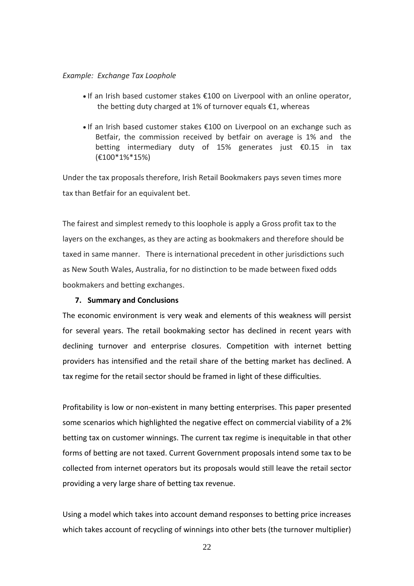## *Example: Exchange Tax Loophole*

- If an Irish based customer stakes €100 on Liverpool with an online operator, the betting duty charged at 1% of turnover equals €1, whereas
- If an Irish based customer stakes €100 on Liverpool on an exchange such as Betfair, the commission received by betfair on average is 1% and the betting intermediary duty of 15% generates just €0.15 in tax (€100\*1%\*15%)

Under the tax proposals therefore, Irish Retail Bookmakers pays seven times more tax than Betfair for an equivalent bet.

The fairest and simplest remedy to this loophole is apply a Gross profit tax to the layers on the exchanges, as they are acting as bookmakers and therefore should be taxed in same manner. There is international precedent in other jurisdictions such as New South Wales, Australia, for no distinction to be made between fixed odds bookmakers and betting exchanges.

## **7. Summary and Conclusions**

The economic environment is very weak and elements of this weakness will persist for several years. The retail bookmaking sector has declined in recent years with declining turnover and enterprise closures. Competition with internet betting providers has intensified and the retail share of the betting market has declined. A tax regime for the retail sector should be framed in light of these difficulties.

Profitability is low or non-existent in many betting enterprises. This paper presented some scenarios which highlighted the negative effect on commercial viability of a 2% betting tax on customer winnings. The current tax regime is inequitable in that other forms of betting are not taxed. Current Government proposals intend some tax to be collected from internet operators but its proposals would still leave the retail sector providing a very large share of betting tax revenue.

Using a model which takes into account demand responses to betting price increases which takes account of recycling of winnings into other bets (the turnover multiplier)